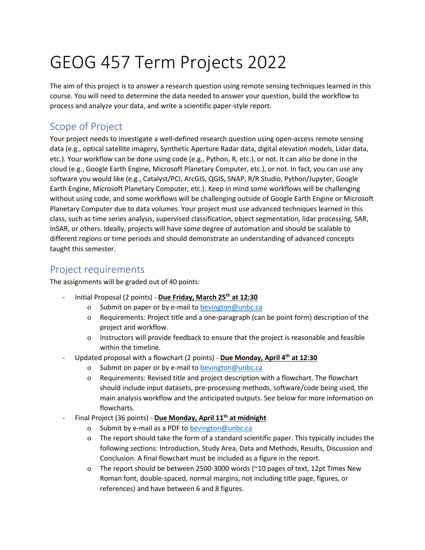# GEOG 457 Term Projects 2022

The aim of this project is to answer a research question using remote sensing techniques learned in this course. You will need to determine the data needed to answer your question, build the workflow to process and analyze your data, and write a scientific paper-style report.

## Scope of Project

Your project needs to investigate a well-defined research question using open-access remote sensing data (e.g., optical satellite imagery, Synthetic Aperture Radar data, digital elevation models, Lidar data, etc.). Your workflow can be done using code (e.g., Python, R, etc.), or not. It can also be done in the cloud (e.g., Google Earth Engine, Microsoft Planetary Computer, etc.), or not. In fact, you can use any software you would like (e.g., Catalyst/PCI, ArcGIS, QGIS, SNAP, R/R Studio, Python/Jupyter, Google Earth Engine, Microsoft Planetary Computer, etc.). Keep in mind some workflows will be challenging without using code, and some workflows will be challenging outside of Google Earth Engine or Microsoft Planetary Computer due to data volumes. Your project must use advanced techniques learned in this class, such as time series analysis, supervised classification, object segmentation, lidar processing, SAR, InSAR, or others. Ideally, projects will have some degree of automation and should be scalable to different regions or time periods and should demonstrate an understanding of advanced concepts taught this semester.

#### Project requirements

The assignments will be graded out of 40 points:

- Initial Proposal (2 points) **Due Friday, March 25th at 12:30**
	- o Submit on paper or by e-mail t[o bevington@unbc.ca](mailto:bevington@unbc.ca)
	- o Requirements: Project title and a one-paragraph (can be point form) description of the project and workflow.
	- o Instructors will provide feedback to ensure that the project is reasonable and feasible within the timeline.
- Updated proposal with a flowchart (2 points) **Due Monday, April 4th at 12:30**
	- o Submit on paper or by e-mail t[o bevington@unbc.ca](mailto:bevington@unbc.ca)
	- o Requirements: Revised title and project description with a flowchart. The flowchart should include input datasets, pre-processing methods, software/code being used, the main analysis workflow and the anticipated outputs. See below for more information on flowcharts.
- Final Project (36 points) **Due Monday, April 11th at midnight**
	- o Submit by e-mail as a PDF t[o bevington@unbc.ca](mailto:bevington@unbc.ca)
	- o The report should take the form of a standard scientific paper. This typically includes the following sections: Introduction, Study Area, Data and Methods, Results, Discussion and Conclusion. A final flowchart must be included as a figure in the report.
	- o The report should be between 2500-3000 words (~10 pages of text, 12pt Times New Roman font, double-spaced, normal margins, not including title page, figures, or references) and have between 6 and 8 figures.